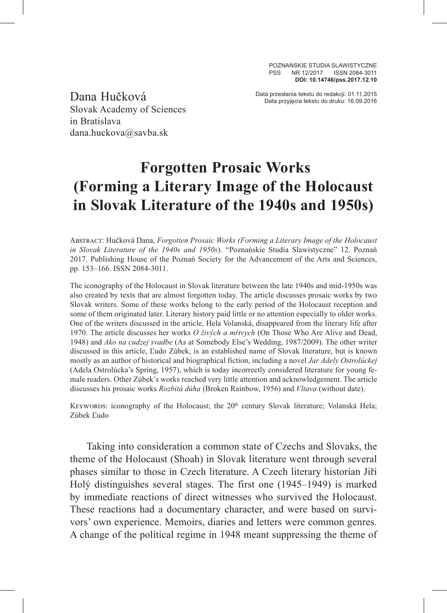POZNAŃSKIE STUDIA SLAWISTYCZNE PSS NR 12/2017 ISSN 2084-3011 **DOI: 10.14746/pss.2017.12.10**

Slovak Academy of Sciences in Bratislava dana.huckova@savba.sk

Data przesłania tekstu do redakcji: 01.11.2015 Dana Hučková Data przyjęcia tekstu do druku: 16.09.2016

## **Forgotten Prosaic Works (Forming a Literary Image of the Holocaust in Slovak Literature of the 1940s and 1950s)**

Abstract: Hučková Dana, *Forgotten Prosaic Works (Forming a Literary Image of the Holocaust in Slovak Literature of the 1940s and 1950s*). "Poznańskie Studia Slawistyczne" 12. Poznań 2017. Publishing House of the Poznań Society for the Advancement of the Arts and Sciences, pp. 153–166. ISSN 2084-3011.

The iconography of the Holocaust in Slovak literature between the late 1940s and mid-1950s was also created by texts that are almost forgotten today. The article discusses prosaic works by two Slovak writers. Some of these works belong to the early period of the Holocaust reception and some of them originated later. Literary history paid little or no attention especially to older works. One of the writers discussed in the article, Hela Volanská, disappeared from the literary life after 1970. The article discusses her works *O živých a mŕtvych* (On Those Who Are Alive and Dead, 1948) and *Ako na cudzej svadbe* (As at Somebody Else's Wedding, 1987/2009). The other writer discussed in this article, Ľudo Zúbek, is an established name of Slovak literature, but is known mostly as an author of historical and biographical fiction, including a novel *Jar Adely Ostrolúckej*  (Adela Ostrolúcka's Spring, 1957), which is today incorrectly considered literature for young female readers. Other Zúbek's works reached very little attention and acknowledgement. The article discusses his prosaic works *Rozbitá dúha* (Broken Rainbow, 1956) and *Vltava* (without date).

KEYWORDS: iconography of the Holocaust; the 20<sup>th</sup> century Slovak literature; Volanská Hela; Zúbek Ľudo

Taking into consideration a common state of Czechs and Slovaks, the theme of the Holocaust (Shoah) in Slovak literature went through several phases similar to those in Czech literature. A Czech literary historian Jiří Holý distinguishes several stages. The first one (1945–1949) is marked by immediate reactions of direct witnesses who survived the Holocaust. These reactions had a documentary character, and were based on survivors' own experience. Memoirs, diaries and letters were common genres. A change of the political regime in 1948 meant suppressing the theme of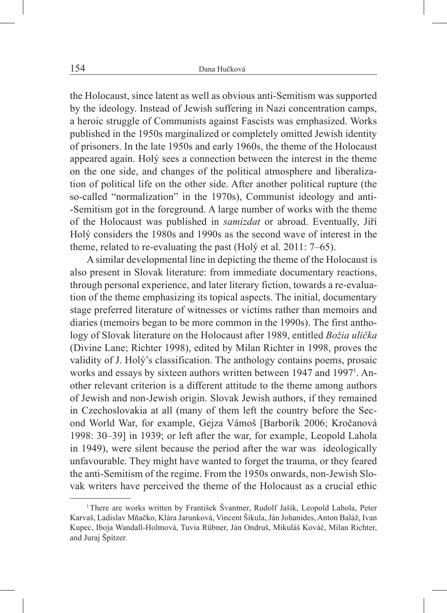the Holocaust, since latent as well as obvious anti-Semitism was supported by the ideology. Instead of Jewish suffering in Nazi concentration camps, a heroic struggle of Communists against Fascists was emphasized. Works published in the 1950s marginalized or completely omitted Jewish identity of prisoners. In the late 1950s and early 1960s, the theme of the Holocaust appeared again. Holý sees a connection between the interest in the theme on the one side, and changes of the political atmosphere and liberalization of political life on the other side. After another political rupture (the so-called "normalization" in the 1970s), Communist ideology and anti- -Semitism got in the foreground. A large number of works with the theme of the Holocaust was published in *samizdat* or abroad. Eventually, Jiří Holý considers the 1980s and 1990s as the second wave of interest in the theme, related to re-evaluating the past (Holý et al. 2011: 7–65).

A similar developmental line in depicting the theme of the Holocaust is also present in Slovak literature: from immediate documentary reactions, through personal experience, and later literary fiction, towards a re-evaluation of the theme emphasizing its topical aspects. The initial, documentary stage preferred literature of witnesses or victims rather than memoirs and diaries (memoirs began to be more common in the 1990s). The first anthology of Slovak literature on the Holocaust after 1989, entitled *Božia ulička* (Divine Lane; Richter 1998), edited by Milan Richter in 1998, proves the validity of J. Holý's classification. The anthology contains poems, prosaic works and essays by sixteen authors written between 1947 and 1997<sup>1</sup>. Another relevant criterion is a different attitude to the theme among authors of Jewish and non-Jewish origin. Slovak Jewish authors, if they remained in Czechoslovakia at all (many of them left the country before the Second World War, for example, Gejza Vámoš [Barborík 2006; Kročanová 1998: 30–39] in 1939; or left after the war, for example, Leopold Lahola in 1949), were silent because the period after the war was ideologically unfavourable. They might have wanted to forget the trauma, or they feared the anti-Semitism of the regime. From the 1950s onwards, non-Jewish Slovak writers have perceived the theme of the Holocaust as a crucial ethic

<sup>1</sup>There are works written by František Švantner, Rudolf Jašík, Leopold Lahola, Peter Karvaš, Ladislav Mňačko, Klára Jarunková, Vincent Šikula, Ján Johanides, Anton Baláž, Ivan Kupec, Iboja Wandall-Holmová, Tuvia Rübner, Ján Ondruš, Mikuláš Kováč, Milan Richter, and Juraj Špitzer.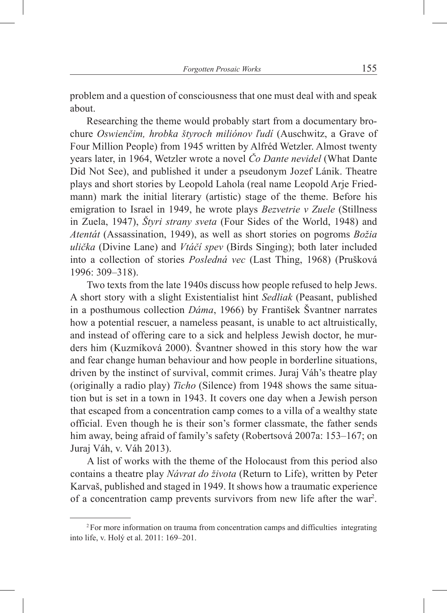problem and a question of consciousness that one must deal with and speak about.

Researching the theme would probably start from a documentary brochure *Oswienčim, hrobka štyroch miliónov ľudí* (Auschwitz, a Grave of Four Million People) from 1945 written by Alfréd Wetzler. Almost twenty years later, in 1964, Wetzler wrote a novel *Čo Dante nevidel* (What Dante Did Not See), and published it under a pseudonym Jozef Lánik. Theatre plays and short stories by Leopold Lahola (real name Leopold Arje Friedmann) mark the initial literary (artistic) stage of the theme. Before his emigration to Israel in 1949, he wrote plays *Bezvetrie v Zuele* (Stillness in Zuela, 1947), *Štyri strany sveta* (Four Sides of the World, 1948) and *Atentát* (Assassination, 1949), as well as short stories on pogroms *Božia ulička* (Divine Lane) and *Vtáčí spev* (Birds Singing); both later included into a collection of stories *Posledná vec* (Last Thing, 1968) (Prušková 1996: 309–318).

Two texts from the late 1940s discuss how people refused to help Jews. A short story with a slight Existentialist hint *Sedliak* (Peasant, published in a posthumous collection *Dáma*, 1966) by František Švantner narrates how a potential rescuer, a nameless peasant, is unable to act altruistically, and instead of offering care to a sick and helpless Jewish doctor, he murders him (Kuzmíková 2000). Švantner showed in this story how the war and fear change human behaviour and how people in borderline situations, driven by the instinct of survival, commit crimes. Juraj Váh's theatre play (originally a radio play) *Ticho* (Silence) from 1948 shows the same situation but is set in a town in 1943. It covers one day when a Jewish person that escaped from a concentration camp comes to a villa of a wealthy state official. Even though he is their son's former classmate, the father sends him away, being afraid of family's safety (Robertsová 2007a: 153–167; on Juraj Váh, v. Váh 2013).

A list of works with the theme of the Holocaust from this period also contains a theatre play *Návrat do života* (Return to Life), written by Peter Karvaš, published and staged in 1949. It shows how a traumatic experience of a concentration camp prevents survivors from new life after the war<sup>2</sup>.

<sup>2</sup>For more information on trauma from concentration camps and difficulties integrating into life, v. Holý et al. 2011: 169–201.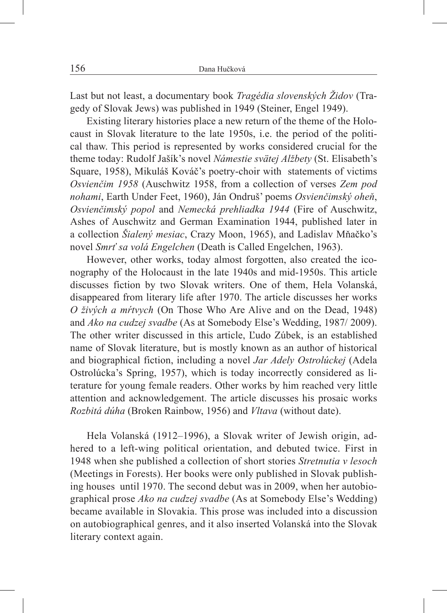Last but not least, a documentary book *Tragédia slovenských Židov* (Tragedy of Slovak Jews) was published in 1949 (Steiner, Engel 1949).

Existing literary histories place a new return of the theme of the Holocaust in Slovak literature to the late 1950s, i.e. the period of the political thaw. This period is represented by works considered crucial for the theme today: Rudolf Jašík's novel *Námestie svätej Alžbety* (St. Elisabeth's Square, 1958), Mikuláš Kováč's poetry-choir with statements of victims *Osvienčim 1958* (Auschwitz 1958, from a collection of verses *Zem pod nohami*, Earth Under Feet, 1960), Ján Ondruš' poems *Osvienčimský oheň*, *Osvienčimský popol* and *Nemecká prehliadka 1944* (Fire of Auschwitz, Ashes of Auschwitz and German Examination 1944, published later in a collection *Šialený mesiac*, Crazy Moon, 1965), and Ladislav Mňačko's novel *Smrť sa volá Engelchen* (Death is Called Engelchen, 1963).

However, other works, today almost forgotten, also created the iconography of the Holocaust in the late 1940s and mid-1950s. This article discusses fiction by two Slovak writers. One of them, Hela Volanská, disappeared from literary life after 1970. The article discusses her works *O živých a mŕtvych* (On Those Who Are Alive and on the Dead, 1948) and *Ako na cudzej svadbe* (As at Somebody Else's Wedding, 1987/ 2009). The other writer discussed in this article, Ľudo Zúbek, is an established name of Slovak literature, but is mostly known as an author of historical and biographical fiction, including a novel *Jar Adely Ostrolúckej* (Adela Ostrolúcka's Spring, 1957), which is today incorrectly considered as literature for young female readers. Other works by him reached very little attention and acknowledgement. The article discusses his prosaic works *Rozbitá dúha* (Broken Rainbow, 1956) and *Vltava* (without date).

Hela Volanská (1912–1996), a Slovak writer of Jewish origin, adhered to a left-wing political orientation, and debuted twice. First in 1948 when she published a collection of short stories *Stretnutia v lesoch*  (Meetings in Forests). Her books were only published in Slovak publishing houses until 1970. The second debut was in 2009, when her autobiographical prose *Ako na cudzej svadbe* (As at Somebody Else's Wedding) became available in Slovakia. This prose was included into a discussion on autobiographical genres, and it also inserted Volanská into the Slovak literary context again.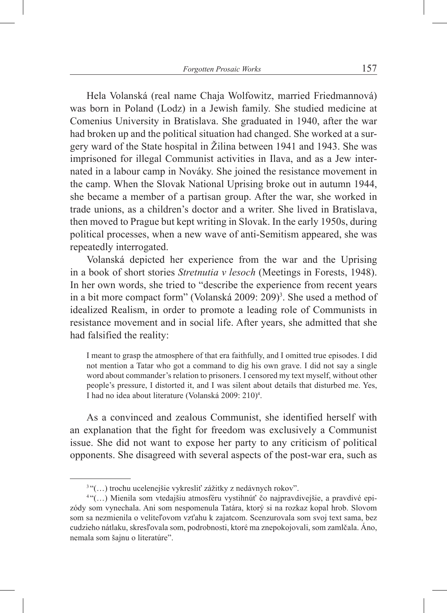Hela Volanská (real name Chaja Wolfowitz, married Friedmannová) was born in Poland (Lodz) in a Jewish family. She studied medicine at Comenius University in Bratislava. She graduated in 1940, after the war had broken up and the political situation had changed. She worked at a surgery ward of the State hospital in Žilina between 1941 and 1943. She was imprisoned for illegal Communist activities in Ilava, and as a Jew internated in a labour camp in Nováky. She joined the resistance movement in the camp. When the Slovak National Uprising broke out in autumn 1944, she became a member of a partisan group. After the war, she worked in trade unions, as a children's doctor and a writer. She lived in Bratislava, then moved to Prague but kept writing in Slovak. In the early 1950s, during political processes, when a new wave of anti-Semitism appeared, she was repeatedly interrogated.

Volanská depicted her experience from the war and the Uprising in a book of short stories *Stretnutia v lesoch* (Meetings in Forests, 1948). In her own words, she tried to "describe the experience from recent years in a bit more compact form" (Volanská 2009: 209)<sup>3</sup>. She used a method of idealized Realism, in order to promote a leading role of Communists in resistance movement and in social life. After years, she admitted that she had falsified the reality:

I meant to grasp the atmosphere of that era faithfully, and I omitted true episodes. I did not mention a Tatar who got a command to dig his own grave. I did not say a single word about commander's relation to prisoners. I censored my text myself, without other people's pressure, I distorted it, and I was silent about details that disturbed me. Yes, I had no idea about literature (Volanská 2009: 210)<sup>4</sup>.

As a convinced and zealous Communist, she identified herself with an explanation that the fight for freedom was exclusively a Communist issue. She did not want to expose her party to any criticism of political opponents. She disagreed with several aspects of the post-war era, such as

 $3$  "(...) trochu ucelenejšie vykresliť zážitky z nedávnych rokov".<br> $4$  "(...) Mienila som vtedajšiu atmosféru vystihnúť čo najpravdivejšie, a pravdivé epizódy som vynechala. Ani som nespomenula Tatára, ktorý si na rozkaz kopal hrob. Slovom som sa nezmienila o veliteľovom vzťahu k zajatcom. Scenzurovala som svoj text sama, bez cudzieho nátlaku, skresľovala som, podrobnosti, ktoré ma znepokojovali, som zamlčala. Áno, nemala som šajnu o literatúre".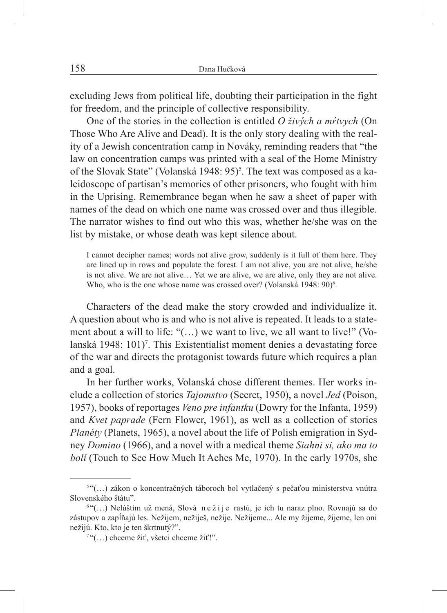excluding Jews from political life, doubting their participation in the fight for freedom, and the principle of collective responsibility.

One of the stories in the collection is entitled *O živých a mŕtvych* (On Those Who Are Alive and Dead). It is the only story dealing with the reality of a Jewish concentration camp in Nováky, reminding readers that "the law on concentration camps was printed with a seal of the Home Ministry of the Slovak State" (Volanská 1948: 95)<sup>5</sup>. The text was composed as a kaleidoscope of partisan's memories of other prisoners, who fought with him in the Uprising. Remembrance began when he saw a sheet of paper with names of the dead on which one name was crossed over and thus illegible. The narrator wishes to find out who this was, whether he/she was on the list by mistake, or whose death was kept silence about.

I cannot decipher names; words not alive grow, suddenly is it full of them here. They are lined up in rows and populate the forest. I am not alive, you are not alive, he/she is not alive. We are not alive… Yet we are alive, we are alive, only they are not alive. Who, who is the one whose name was crossed over? (Volanská 1948: 90)<sup>6</sup>.

Characters of the dead make the story crowded and individualize it. A question about who is and who is not alive is repeated. It leads to a statement about a will to life: "(…) we want to live, we all want to live!" (Volanská 1948: 101)<sup>7</sup>. This Existentialist moment denies a devastating force of the war and directs the protagonist towards future which requires a plan and a goal.

In her further works, Volanská chose different themes. Her works include a collection of stories *Tajomstvo* (Secret, 1950), a novel *Jed* (Poison, 1957), books of reportages *Veno pre infantku* (Dowry for the Infanta, 1959) and *Kvet paprade* (Fern Flower, 1961), as well as a collection of stories *Planéty* (Planets, 1965), a novel about the life of Polish emigration in Sydney *Domino* (1966), and a novel with a medical theme *Siahni si, ako ma to bolí* (Touch to See How Much It Aches Me, 1970). In the early 1970s, she

<sup>&</sup>lt;sup>5 "</sup>(...) zákon o koncentračných táboroch bol vytlačený s pečaťou ministerstva vnútra Slovenského štátu".

 $6$ " $\ldots$ ) Nelúštim už mená, Slová ne ži je rastú, je ich tu naraz plno. Rovnajú sa do zástupov a zapĺňajú les. Nežijem, nežiješ, nežije. Nežijeme... Ale my žijeme, žijeme, len oni nežijú. Kto, kto je ten škrtnutý?".

<sup>7</sup> "(…) chceme žiť, všetci chceme žiť!".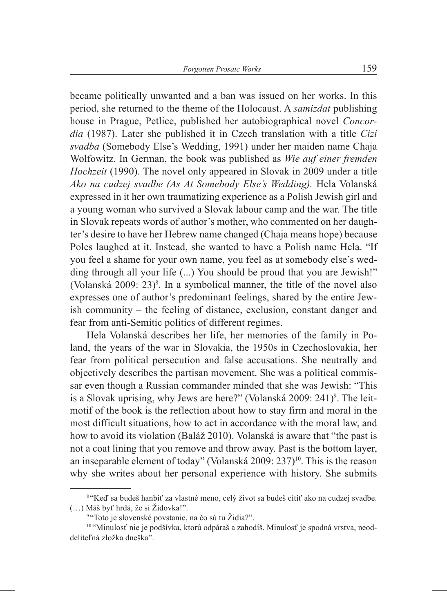became politically unwanted and a ban was issued on her works. In this period, she returned to the theme of the Holocaust. A *samizdat* publishing house in Prague, Petlice, published her autobiographical novel *Concordia* (1987). Later she published it in Czech translation with a title *Cizí svadba* (Somebody Else's Wedding, 1991) under her maiden name Chaja Wolfowitz. In German, the book was published as *Wie auf einer fremden Hochzeit* (1990). The novel only appeared in Slovak in 2009 under a title *Ako na cudzej svadbe (As At Somebody Else's Wedding).* Hela Volanská expressed in it her own traumatizing experience as a Polish Jewish girl and a young woman who survived a Slovak labour camp and the war. The title in Slovak repeats words of author's mother, who commented on her daughter's desire to have her Hebrew name changed (Chaja means hope) because Poles laughed at it. Instead, she wanted to have a Polish name Hela. "If you feel a shame for your own name, you feel as at somebody else's wedding through all your life  $(...)$  You should be proud that you are Jewish!" (Volanská 2009:  $23$ )<sup>8</sup>. In a symbolical manner, the title of the novel also expresses one of author's predominant feelings, shared by the entire Jewish community – the feeling of distance, exclusion, constant danger and fear from anti-Semitic politics of different regimes.

Hela Volanská describes her life, her memories of the family in Poland, the years of the war in Slovakia, the 1950s in Czechoslovakia, her fear from political persecution and false accusations. She neutrally and objectively describes the partisan movement. She was a political commissar even though a Russian commander minded that she was Jewish: "This is a Slovak uprising, why Jews are here?" (Volanská 2009: 241)<sup>9</sup>. The leitmotif of the book is the reflection about how to stay firm and moral in the most difficult situations, how to act in accordance with the moral law, and how to avoid its violation (Baláž 2010). Volanská is aware that "the past is not a coat lining that you remove and throw away. Past is the bottom layer, an inseparable element of today" (Volanská 2009:  $237$ <sup>10</sup>. This is the reason why she writes about her personal experience with history. She submits

<sup>&</sup>lt;sup>8</sup> "Keď sa budeš hanbiť za vlastné meno, celý život sa budeš cítiť ako na cudzej svadbe. (…) Máš byť hrdá, že si Židovka!". 9 "Toto je slovenské povstanie, na čo sú tu Židia?".

<sup>&</sup>lt;sup>10</sup> "Minulosť nie je podšívka, ktorú odpáraš a zahodíš. Minulosť je spodná vrstva, neoddeliteľná zložka dneška".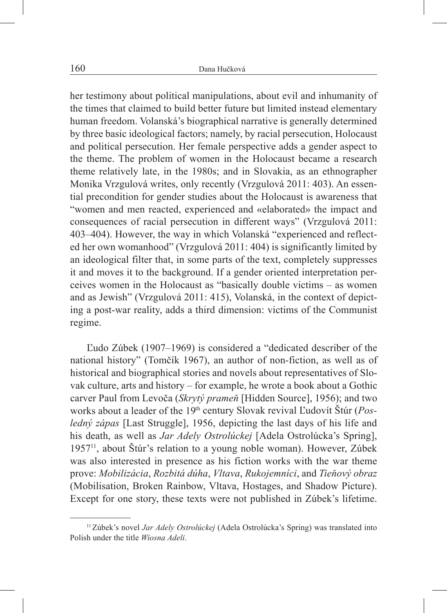her testimony about political manipulations, about evil and inhumanity of the times that claimed to build better future but limited instead elementary human freedom. Volanská's biographical narrative is generally determined by three basic ideological factors; namely, by racial persecution, Holocaust and political persecution. Her female perspective adds a gender aspect to the theme. The problem of women in the Holocaust became a research theme relatively late, in the 1980s; and in Slovakia, as an ethnographer Monika Vrzgulová writes, only recently (Vrzgulová 2011: 403). An essential precondition for gender studies about the Holocaust is awareness that "women and men reacted, experienced and «elaborated» the impact and consequences of racial persecution in different ways" (Vrzgulová 2011: 403–404). However, the way in which Volanská "experienced and reflected her own womanhood" (Vrzgulová 2011: 404) is significantly limited by an ideological filter that, in some parts of the text, completely suppresses it and moves it to the background. If a gender oriented interpretation perceives women in the Holocaust as "basically double victims – as women and as Jewish" (Vrzgulová 2011: 415), Volanská, in the context of depicting a post-war reality, adds a third dimension: victims of the Communist regime.

Ľudo Zúbek (1907–1969) is considered a "dedicated describer of the national history" (Tomčík 1967), an author of non-fiction, as well as of historical and biographical stories and novels about representatives of Slovak culture, arts and history – for example, he wrote a book about a Gothic carver Paul from Levoča (*Skrytý prameň* [Hidden Source], 1956); and two works about a leader of the 19th century Slovak revival Ľudovít Štúr (*Posledný zápas* [Last Struggle], 1956, depicting the last days of his life and his death, as well as *Jar Adely Ostrolúckej* [Adela Ostrolúcka's Spring], 195711, about Štúr's relation to a young noble woman). However, Zúbek was also interested in presence as his fiction works with the war theme prove: *Mobilizácia*, *Rozbitá dúha*, *Vltava*, *Rukojemníci*, and *Tieňový obraz*  (Mobilisation, Broken Rainbow, Vltava, Hostages, and Shadow Picture). Except for one story, these texts were not published in Zúbek's lifetime.

<sup>11</sup>Zúbek's novel *Jar Adely Ostrolúckej* (Adela Ostrolúcka's Spring) was translated into Polish under the title *Wiosna Adeli*.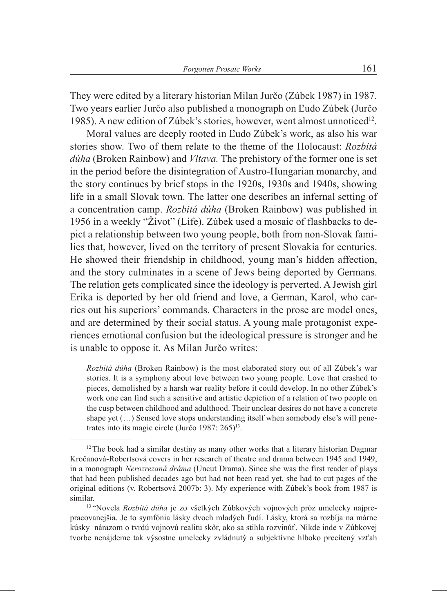They were edited by a literary historian Milan Jurčo (Zúbek 1987) in 1987. Two years earlier Jurčo also published a monograph on Ľudo Zúbek (Jurčo 1985). A new edition of Zúbek's stories, however, went almost unnoticed<sup>12</sup>.

Moral values are deeply rooted in Ľudo Zúbek's work, as also his war stories show. Two of them relate to the theme of the Holocaust: *Rozbitá dúha* (Broken Rainbow) and *Vltava.* The prehistory of the former one is set in the period before the disintegration of Austro-Hungarian monarchy, and the story continues by brief stops in the 1920s, 1930s and 1940s, showing life in a small Slovak town. The latter one describes an infernal setting of a concentration camp. *Rozbitá dúha* (Broken Rainbow) was published in 1956 in a weekly "Život" (Life). Zúbek used a mosaic of flashbacks to depict a relationship between two young people, both from non-Slovak families that, however, lived on the territory of present Slovakia for centuries. He showed their friendship in childhood, young man's hidden affection, and the story culminates in a scene of Jews being deported by Germans. The relation gets complicated since the ideology is perverted. A Jewish girl Erika is deported by her old friend and love, a German, Karol, who carries out his superiors' commands. Characters in the prose are model ones, and are determined by their social status. A young male protagonist experiences emotional confusion but the ideological pressure is stronger and he is unable to oppose it. As Milan Jurčo writes:

*Rozbitá dúha* (Broken Rainbow) is the most elaborated story out of all Zúbek's war stories. It is a symphony about love between two young people. Love that crashed to pieces, demolished by a harsh war reality before it could develop. In no other Zúbek's work one can find such a sensitive and artistic depiction of a relation of two people on the cusp between childhood and adulthood. Their unclear desires do not have a concrete shape yet (…) Sensed love stops understanding itself when somebody else's will penetrates into its magic circle (Jurčo 1987: 265)<sup>13</sup>.

<sup>&</sup>lt;sup>12</sup>The book had a similar destiny as many other works that a literary historian Dagmar Kročanová-Robertsová covers in her research of theatre and drama between 1945 and 1949, in a monograph *Nerozrezaná dráma* (Uncut Drama). Since she was the first reader of plays that had been published decades ago but had not been read yet, she had to cut pages of the original editions (v. Robertsová 2007b: 3). My experience with Zúbek's book from 1987 is similar.

<sup>13</sup> "Novela *Rozbitá dúha* je zo všetkých Zúbkových vojnových próz umelecky najprepracovanejšia. Je to symfónia lásky dvoch mladých ľudí. Lásky, ktorá sa rozbíja na márne kúsky nárazom o tvrdú vojnovú realitu skôr, ako sa stihla rozvinúť. Nikde inde v Zúbkovej tvorbe nenájdeme tak výsostne umelecky zvládnutý a subjektívne hlboko precítený vzťah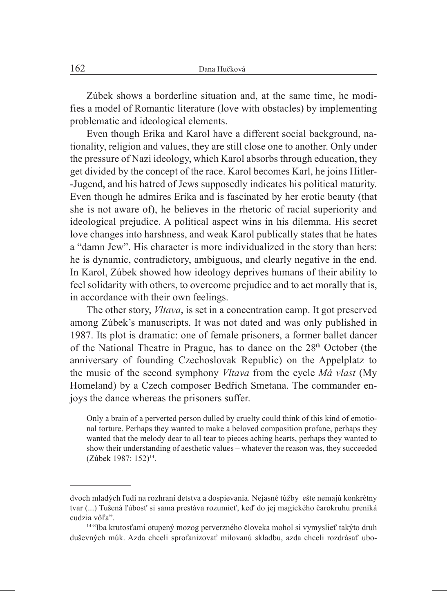Zúbek shows a borderline situation and, at the same time, he modifies a model of Romantic literature (love with obstacles) by implementing problematic and ideological elements.

Even though Erika and Karol have a different social background, nationality, religion and values, they are still close one to another. Only under the pressure of Nazi ideology, which Karol absorbs through education, they get divided by the concept of the race. Karol becomes Karl, he joins Hitler- -Jugend, and his hatred of Jews supposedly indicates his political maturity. Even though he admires Erika and is fascinated by her erotic beauty (that she is not aware of), he believes in the rhetoric of racial superiority and ideological prejudice. A political aspect wins in his dilemma. His secret love changes into harshness, and weak Karol publically states that he hates a "damn Jew". His character is more individualized in the story than hers: he is dynamic, contradictory, ambiguous, and clearly negative in the end. In Karol, Zúbek showed how ideology deprives humans of their ability to feel solidarity with others, to overcome prejudice and to act morally that is, in accordance with their own feelings.

The other story, *Vltava*, is set in a concentration camp. It got preserved among Zúbek's manuscripts. It was not dated and was only published in 1987. Its plot is dramatic: one of female prisoners, a former ballet dancer of the National Theatre in Prague, has to dance on the 28<sup>th</sup> October (the anniversary of founding Czechoslovak Republic) on the Appelplatz to the music of the second symphony *Vltava* from the cycle *Má vlast* (My Homeland) by a Czech composer Bedřich Smetana. The commander enjoys the dance whereas the prisoners suffer.

Only a brain of a perverted person dulled by cruelty could think of this kind of emotional torture. Perhaps they wanted to make a beloved composition profane, perhaps they wanted that the melody dear to all tear to pieces aching hearts, perhaps they wanted to show their understanding of aesthetic values – whatever the reason was, they succeeded (Zúbek 1987: 152)14.

dvoch mladých ľudí na rozhraní detstva a dospievania. Nejasné túžby ešte nemajú konkrétny tvar (...) Tušená ľúbosť si sama prestáva rozumieť, keď do jej magického čarokruhu preniká cudzia vôľa".

<sup>14</sup> "Iba krutosťami otupený mozog perverzného človeka mohol si vymyslieť takýto druh duševných múk. Azda chceli sprofanizovať milovanú skladbu, azda chceli rozdrásať ubo-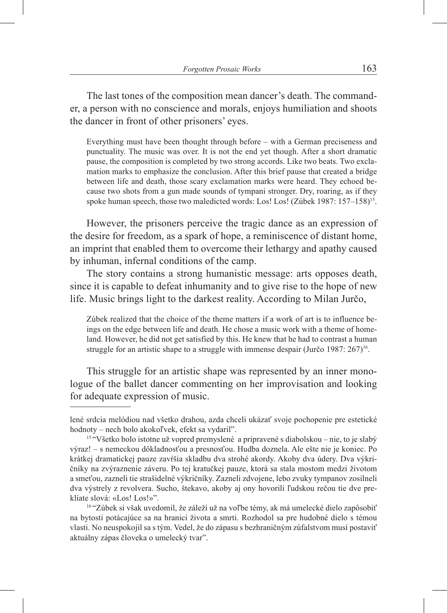The last tones of the composition mean dancer's death. The commander, a person with no conscience and morals, enjoys humiliation and shoots the dancer in front of other prisoners' eyes.

Everything must have been thought through before – with a German preciseness and punctuality. The music was over. It is not the end yet though. After a short dramatic pause, the composition is completed by two strong accords. Like two beats. Two exclamation marks to emphasize the conclusion. After this brief pause that created a bridge between life and death, those scary exclamation marks were heard. They echoed because two shots from a gun made sounds of tympani stronger. Dry, roaring, as if they spoke human speech, those two maledicted words: Los! Los! (Zúbek 1987: 157–158)<sup>15</sup>.

However, the prisoners perceive the tragic dance as an expression of the desire for freedom, as a spark of hope, a reminiscence of distant home, an imprint that enabled them to overcome their lethargy and apathy caused by inhuman, infernal conditions of the camp.

The story contains a strong humanistic message: arts opposes death, since it is capable to defeat inhumanity and to give rise to the hope of new life. Music brings light to the darkest reality. According to Milan Jurčo,

Zúbek realized that the choice of the theme matters if a work of art is to influence beings on the edge between life and death. He chose a music work with a theme of homeland. However, he did not get satisfied by this. He knew that he had to contrast a human struggle for an artistic shape to a struggle with immense despair (Jurčo 1987: 267)<sup>16</sup>.

This struggle for an artistic shape was represented by an inner monologue of the ballet dancer commenting on her improvisation and looking for adequate expression of music.

lené srdcia melódiou nad všetko drahou, azda chceli ukázať svoje pochopenie pre estetické hodnoty – nech bolo akokoľvek, efekt sa vydaril".

<sup>&</sup>lt;sup>15 "</sup>Všetko bolo istotne už vopred premyslené a pripravené s diabolskou – nie, to je slabý výraz! – s nemeckou dôkladnosťou a presnosťou. Hudba doznela. Ale ešte nie je koniec. Po krátkej dramatickej pauze zavŕšia skladbu dva strohé akordy. Akoby dva údery. Dva výkričníky na zvýraznenie záveru. Po tej kratučkej pauze, ktorá sa stala mostom medzi životom a smeťou, zazneli tie strašidelné výkričníky. Zazneli zdvojene, lebo zvuky tympanov zosilneli dva výstrely z revolvera. Sucho, štekavo, akoby aj ony hovorili ľudskou rečou tie dve prekliate slová: «Los! Los!»".

<sup>&</sup>lt;sup>16</sup> "Zúbek si však uvedomil, že záleží už na voľbe témy, ak má umelecké dielo zapôsobiť na bytosti potácajúce sa na hranici života a smrti. Rozhodol sa pre hudobné dielo s témou vlasti. No neuspokojil sa s tým. Vedel, že do zápasu s bezhraničným zúfalstvom musí postaviť aktuálny zápas človeka o umelecký tvar".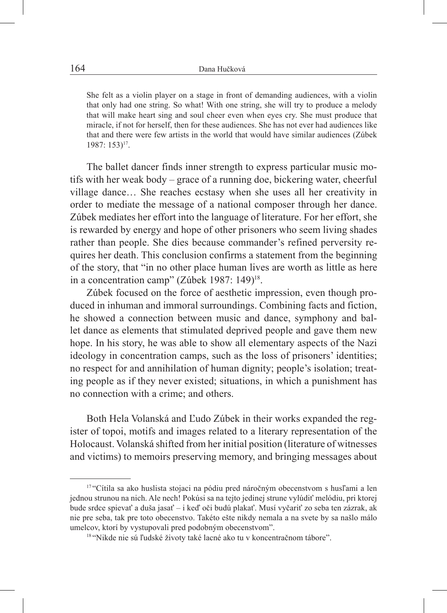She felt as a violin player on a stage in front of demanding audiences, with a violin that only had one string. So what! With one string, she will try to produce a melody that will make heart sing and soul cheer even when eyes cry. She must produce that miracle, if not for herself, then for these audiences. She has not ever had audiences like that and there were few artists in the world that would have similar audiences (Zúbek 1987: 153)17.

The ballet dancer finds inner strength to express particular music motifs with her weak body – grace of a running doe, bickering water, cheerful village dance… She reaches ecstasy when she uses all her creativity in order to mediate the message of a national composer through her dance. Zúbek mediates her effort into the language of literature. For her effort, she is rewarded by energy and hope of other prisoners who seem living shades rather than people. She dies because commander's refined perversity requires her death. This conclusion confirms a statement from the beginning of the story, that "in no other place human lives are worth as little as here in a concentration camp" (Zúbek 1987: 149)<sup>18</sup>.

Zúbek focused on the force of aesthetic impression, even though produced in inhuman and immoral surroundings. Combining facts and fiction, he showed a connection between music and dance, symphony and ballet dance as elements that stimulated deprived people and gave them new hope. In his story, he was able to show all elementary aspects of the Nazi ideology in concentration camps, such as the loss of prisoners' identities; no respect for and annihilation of human dignity; people's isolation; treating people as if they never existed; situations, in which a punishment has no connection with a crime; and others.

Both Hela Volanská and Ľudo Zúbek in their works expanded the register of topoi, motifs and images related to a literary representation of the Holocaust. Volanská shifted from her initial position (literature of witnesses and victims) to memoirs preserving memory, and bringing messages about

<sup>17 &</sup>quot;Cítila sa ako huslista stojaci na pódiu pred náročným obecenstvom s husľami a len jednou strunou na nich. Ale nech! Pokúsi sa na tejto jedinej strune vylúdiť melódiu, pri ktorej bude srdce spievať a duša jasať – i keď oči budú plakať. Musí vyčariť zo seba ten zázrak, ak nie pre seba, tak pre toto obecenstvo. Takéto ešte nikdy nemala a na svete by sa našlo málo umelcov, ktorí by vystupovali pred podobným obecenstvom".<br><sup>18 "</sup>Nikde nie sú ľudské životy také lacné ako tu v koncentračnom tábore".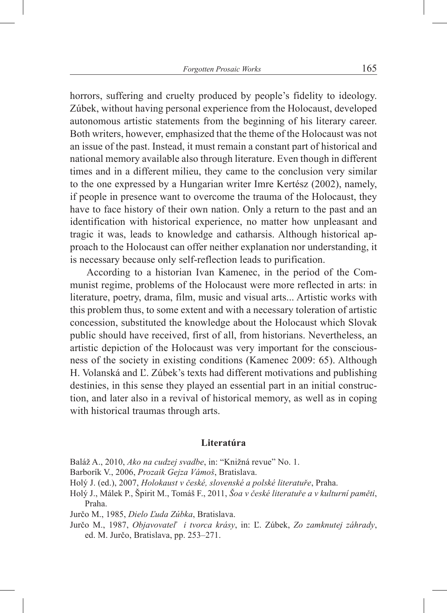horrors, suffering and cruelty produced by people's fidelity to ideology. Zúbek, without having personal experience from the Holocaust, developed autonomous artistic statements from the beginning of his literary career. Both writers, however, emphasized that the theme of the Holocaust was not an issue of the past. Instead, it must remain a constant part of historical and national memory available also through literature. Even though in different times and in a different milieu, they came to the conclusion very similar to the one expressed by a Hungarian writer Imre Kertész (2002), namely, if people in presence want to overcome the trauma of the Holocaust, they have to face history of their own nation. Only a return to the past and an identification with historical experience, no matter how unpleasant and tragic it was, leads to knowledge and catharsis. Although historical approach to the Holocaust can offer neither explanation nor understanding, it is necessary because only self-reflection leads to purification.

According to a historian Ivan Kamenec, in the period of the Communist regime, problems of the Holocaust were more reflected in arts: in literature, poetry, drama, film, music and visual arts... Artistic works with this problem thus, to some extent and with a necessary toleration of artistic concession, substituted the knowledge about the Holocaust which Slovak public should have received, first of all, from historians. Nevertheless, an artistic depiction of the Holocaust was very important for the consciousness of the society in existing conditions (Kamenec 2009: 65). Although H. Volanská and Ľ. Zúbek's texts had different motivations and publishing destinies, in this sense they played an essential part in an initial construction, and later also in a revival of historical memory, as well as in coping with historical traumas through arts.

## **Literatúra**

Baláž A., 2010, *Ako na cudzej svadbe*, in: "Knižná revue" No. 1.

Barborík V., 2006, *Prozaik Gejza Vámoš*, Bratislava.

- Holý J. (ed.), 2007, *Holokaust v české, slovenské a polské literatuře*, Praha.
- Holý J., Málek P., Špirit M., Tomáš F., 2011, *Šoa v české literatuře a v kulturní paměti*, Praha.

Jurčo M., 1985, *Dielo Ľuda Zúbka*, Bratislava.

Jurčo M., 1987, *Objavovateľ i tvorca krásy*, in: Ľ. Zúbek, *Zo zamknutej záhrady*, ed. M. Jurčo, Bratislava, pp. 253–271.